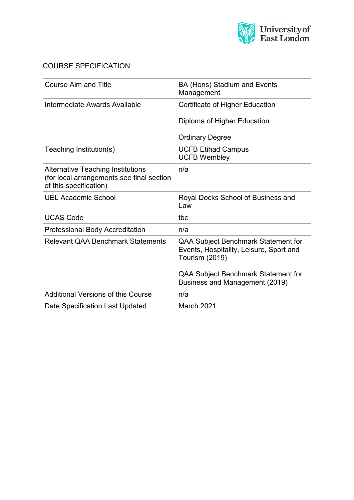

### COURSE SPECIFICATION

| <b>Course Aim and Title</b>                                                                                     | BA (Hons) Stadium and Events<br>Management                                                              |  |
|-----------------------------------------------------------------------------------------------------------------|---------------------------------------------------------------------------------------------------------|--|
| Intermediate Awards Available                                                                                   | Certificate of Higher Education                                                                         |  |
|                                                                                                                 | Diploma of Higher Education                                                                             |  |
|                                                                                                                 | <b>Ordinary Degree</b>                                                                                  |  |
| Teaching Institution(s)                                                                                         | <b>UCFB Etihad Campus</b><br><b>UCFB Wembley</b>                                                        |  |
| <b>Alternative Teaching Institutions</b><br>(for local arrangements see final section<br>of this specification) | n/a                                                                                                     |  |
| <b>UEL Academic School</b>                                                                                      | Royal Docks School of Business and<br>Law                                                               |  |
| <b>UCAS Code</b>                                                                                                | tbc                                                                                                     |  |
| <b>Professional Body Accreditation</b>                                                                          | n/a                                                                                                     |  |
| <b>Relevant QAA Benchmark Statements</b>                                                                        | QAA Subject Benchmark Statement for<br>Events, Hospitality, Leisure, Sport and<br><b>Tourism (2019)</b> |  |
|                                                                                                                 | QAA Subject Benchmark Statement for<br>Business and Management (2019)                                   |  |
| <b>Additional Versions of this Course</b>                                                                       | n/a                                                                                                     |  |
| Date Specification Last Updated                                                                                 | March 2021                                                                                              |  |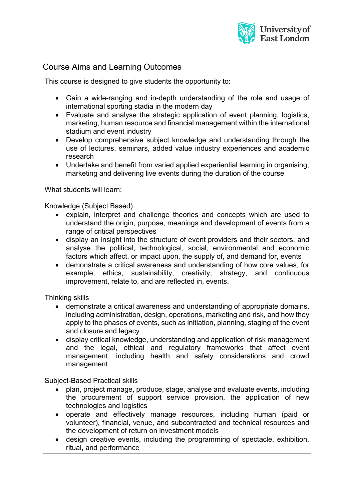

# Course Aims and Learning Outcomes

This course is designed to give students the opportunity to:

- Gain a wide-ranging and in-depth understanding of the role and usage of international sporting stadia in the modern day
- Evaluate and analyse the strategic application of event planning, logistics, marketing, human resource and financial management within the international stadium and event industry
- Develop comprehensive subject knowledge and understanding through the use of lectures, seminars, added value industry experiences and academic research
- Undertake and benefit from varied applied experiential learning in organising, marketing and delivering live events during the duration of the course

What students will learn:

Knowledge (Subject Based)

- explain, interpret and challenge theories and concepts which are used to understand the origin, purpose, meanings and development of events from a range of critical perspectives
- display an insight into the structure of event providers and their sectors, and analyse the political, technological, social, environmental and economic factors which affect, or impact upon, the supply of, and demand for, events
- demonstrate a critical awareness and understanding of how core values, for example, ethics, sustainability, creativity, strategy, and continuous improvement, relate to, and are reflected in, events.

Thinking skills

- demonstrate a critical awareness and understanding of appropriate domains, including administration, design, operations, marketing and risk, and how they apply to the phases of events, such as initiation, planning, staging of the event and closure and legacy
- display critical knowledge, understanding and application of risk management and the legal, ethical and regulatory frameworks that affect event management, including health and safety considerations and crowd management

Subject-Based Practical skills

- plan, project manage, produce, stage, analyse and evaluate events, including the procurement of support service provision, the application of new technologies and logistics
- operate and effectively manage resources, including human (paid or volunteer), financial, venue, and subcontracted and technical resources and the development of return on investment models
- design creative events, including the programming of spectacle, exhibition, ritual, and performance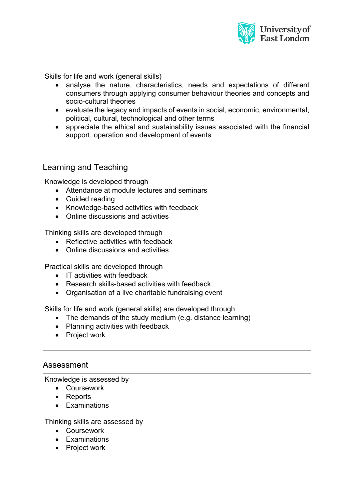

Skills for life and work (general skills)

- analyse the nature, characteristics, needs and expectations of different consumers through applying consumer behaviour theories and concepts and socio-cultural theories
- evaluate the legacy and impacts of events in social, economic, environmental, political, cultural, technological and other terms
- appreciate the ethical and sustainability issues associated with the financial support, operation and development of events

### Learning and Teaching

Knowledge is developed through

- Attendance at module lectures and seminars
- Guided reading
- Knowledge-based activities with feedback
- Online discussions and activities

Thinking skills are developed through

- Reflective activities with feedback
- Online discussions and activities

Practical skills are developed through

- IT activities with feedback
- Research skills-based activities with feedback
- Organisation of a live charitable fundraising event

Skills for life and work (general skills) are developed through

- The demands of the study medium (e.g. distance learning)
- Planning activities with feedback
- Project work

### Assessment

Knowledge is assessed by

- Coursework
- Reports
- Examinations

Thinking skills are assessed by

- Coursework
- Examinations
- Project work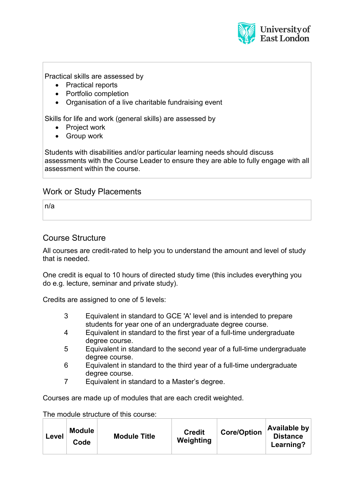

Practical skills are assessed by

- Practical reports
- Portfolio completion
- Organisation of a live charitable fundraising event

Skills for life and work (general skills) are assessed by

- Project work
- Group work

Students with disabilities and/or particular learning needs should discuss assessments with the Course Leader to ensure they are able to fully engage with all assessment within the course.

#### Work or Study Placements

n/a

#### Course Structure

All courses are credit-rated to help you to understand the amount and level of study that is needed.

One credit is equal to 10 hours of directed study time (this includes everything you do e.g. lecture, seminar and private study).

Credits are assigned to one of 5 levels:

- 3 Equivalent in standard to GCE 'A' level and is intended to prepare students for year one of an undergraduate degree course.
- 4 Equivalent in standard to the first year of a full-time undergraduate degree course.
- 5 Equivalent in standard to the second year of a full-time undergraduate degree course.
- 6 Equivalent in standard to the third year of a full-time undergraduate degree course.
- 7 Equivalent in standard to a Master's degree.

Courses are made up of modules that are each credit weighted.

The module structure of this course:

| Level | <b>Module</b><br>Code | <b>Module Title</b> | <b>Credit</b><br>Weighting | <b>Core/Option</b> | Available by<br><b>Distance</b><br>Learning? |
|-------|-----------------------|---------------------|----------------------------|--------------------|----------------------------------------------|
|-------|-----------------------|---------------------|----------------------------|--------------------|----------------------------------------------|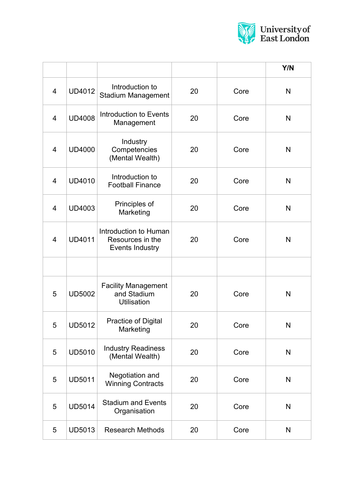

|                |               |                                                                 |    |      | Y/N          |
|----------------|---------------|-----------------------------------------------------------------|----|------|--------------|
| $\overline{4}$ | <b>UD4012</b> | Introduction to<br><b>Stadium Management</b>                    | 20 | Core | N            |
| $\overline{4}$ | <b>UD4008</b> | Introduction to Events<br>Management                            | 20 | Core | N            |
| $\overline{4}$ | <b>UD4000</b> | Industry<br>Competencies<br>(Mental Wealth)                     | 20 | Core | N            |
| $\overline{4}$ | <b>UD4010</b> | Introduction to<br><b>Football Finance</b>                      | 20 | Core | N            |
| $\overline{4}$ | <b>UD4003</b> | Principles of<br>Marketing                                      | 20 | Core | N            |
| $\overline{4}$ | <b>UD4011</b> | Introduction to Human<br>Resources in the<br>Events Industry    | 20 | Core | N            |
|                |               |                                                                 |    |      |              |
| 5              | <b>UD5002</b> | <b>Facility Management</b><br>and Stadium<br><b>Utilisation</b> | 20 | Core | N            |
| 5              | <b>UD5012</b> | Practice of Digital<br>Marketing                                | 20 | Core | N            |
| 5              | <b>UD5010</b> | <b>Industry Readiness</b><br>(Mental Wealth)                    | 20 | Core | N            |
| 5              | <b>UD5011</b> | Negotiation and<br><b>Winning Contracts</b>                     | 20 | Core | $\mathsf{N}$ |
| 5              | <b>UD5014</b> | <b>Stadium and Events</b><br>Organisation                       | 20 | Core | N            |
| 5              | <b>UD5013</b> | <b>Research Methods</b>                                         | 20 | Core | N            |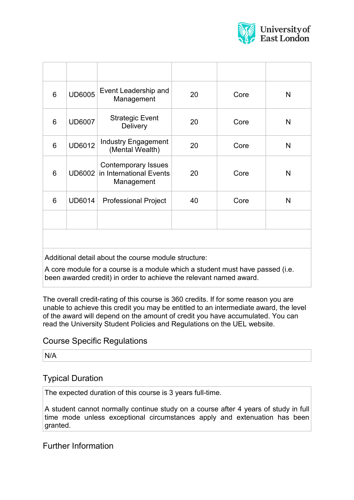

| 6               | <b>UD6005</b> | Event Leadership and<br>Management                                  | 20 | Core | N |
|-----------------|---------------|---------------------------------------------------------------------|----|------|---|
| 6               | <b>UD6007</b> | <b>Strategic Event</b><br><b>Delivery</b>                           | 20 | Core | N |
| 6               | <b>UD6012</b> | <b>Industry Engagement</b><br>(Mental Wealth)                       | 20 | Core | N |
| 6               | <b>UD6002</b> | <b>Contemporary Issues</b><br>in International Events<br>Management | 20 | Core | N |
| $6\phantom{1}6$ | <b>UD6014</b> | <b>Professional Project</b>                                         | 40 | Core | N |
|                 |               |                                                                     |    |      |   |
|                 |               |                                                                     |    |      |   |

Additional detail about the course module structure:

A core module for a course is a module which a student must have passed (i.e. been awarded credit) in order to achieve the relevant named award.

The overall credit-rating of this course is 360 credits. If for some reason you are unable to achieve this credit you may be entitled to an intermediate award, the level of the award will depend on the amount of credit you have accumulated. You can read the University Student Policies and Regulations on the UEL website.

### Course Specific Regulations

N/A

# Typical Duration

The expected duration of this course is 3 years full-time.

A student cannot normally continue study on a course after 4 years of study in full time mode unless exceptional circumstances apply and extenuation has been granted.

# Further Information